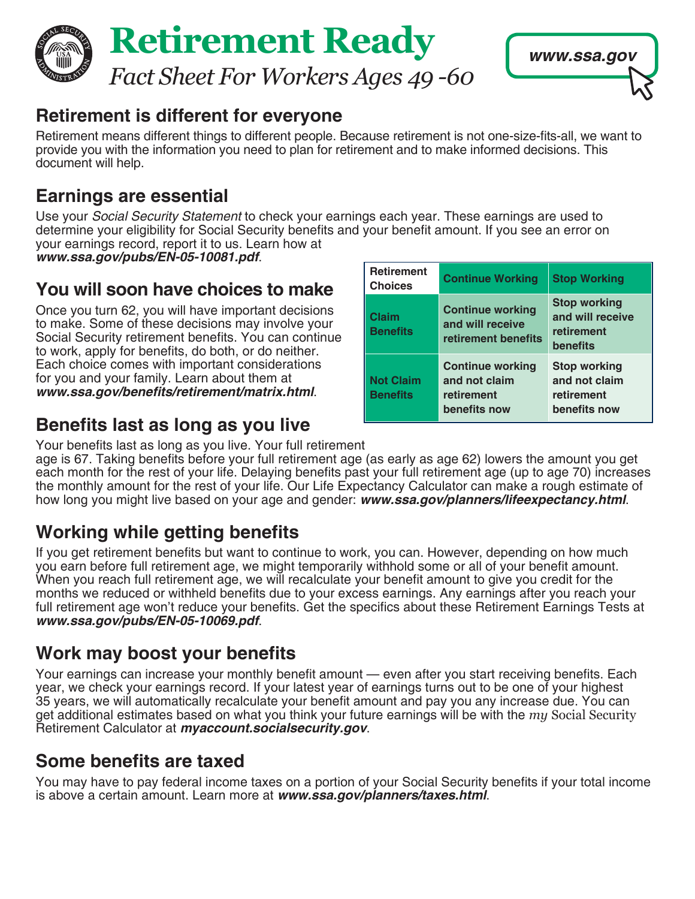



### **Retirement is different for everyone**

Retirement means different things to different people. Because retirement is not one-size-fits-all, we want to provide you with the information you need to plan for retirement and to make informed decisions. This document will help.

**Retirement** 

### **Earnings are essential**

Use your *Social Security Statement* to check your earnings each year. These earnings are used to determine your eligibility for Social Security benefits and your benefit amount. If you see an error on your earnings record, report it to us. Learn how at

*[www.ssa.gov/pubs/EN-05-10081.pdf](https://www.ssa.gov/pubs/EN-05-10081.pdf)*.

### **You will soon have choices to make**

Once you turn 62, you will have important decisions to make. Some of these decisions may involve your Social Security retirement benefits. You can continue to work, apply for benefits, do both, or do neither. Each choice comes with important considerations for you and your family. Learn about them at **[www.ssa.gov/benefits/retirement/matrix.html](https://www.ssa.gov/benefits/retirement/matrix.html)**.

## **Benefits last as long as you live**

**Claim Benefits Continue working and will receive retirement benefits Stop working and will receive retirement benefits Not Claim Benefits Continue working and not claim retirement benefits now Stop working and not claim retirement benefits now**

**[Continue Working Stop Working](https://www.ssa.gov/benefits/retirement/matrix.html)** 

Your benefits last as long as you live. Your full retirement

age is 67. Taking benefits before your full retirement age (as early as age 62) lowers the amount you get each month for the rest of your life. Delaying benefits past your full retirement age (up to age 70) increases the monthly amount for the rest of your life. Our Life Expectancy Calculator can make a rough estimate of how long you might live based on your age and gender: **[www.ssa.gov/planners/lifeexpectancy.html](https://www.ssa.gov/OACT/population/longevity.html)**.

# **Working while getting benefits**

If you get retirement benefits but want to continue to work, you can. However, depending on how much you earn before full retirement age, we might temporarily withhold some or all of your benefit amount. When you reach full retirement age, we will recalculate your benefit amount to give you credit for the months we reduced or withheld benefits due to your excess earnings. Any earnings after you reach your full retirement age won't reduce your benefits. Get the specifics about these Retirement Earnings Tests at *www.ssa.gov/pubs/EN-05-10069.pdf*[.](https://www.ssa.gov/OACT/COLA/RTeffect.html)

### **Work may boost your benefits**

Your earnings can increase your monthly benefit amount — even after you start receiving benefits. Each year, we check your earnings record. If your latest year of earnings turns out to be one of your highest 35 years, we will automatically recalculate your benefit amount and pay you any increase due. You can get additional estimates based on what you think your future earnings will be with the *my* Social Security Retirement Calculator at **[myaccount.socialsecurity.gov](https://myaccount.socialsecurity.gov)**.

### **Some benefits are taxed**

You may have to pay federal income taxes on a portion of your Social Security benefits if your total income is above a certain amount. Learn more at **[www.ssa.gov/planners/taxes.html](https://www.ssa.gov/planners/taxes.html)**.